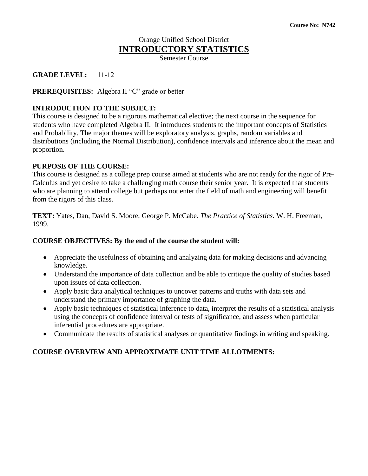## Orange Unified School District **INTRODUCTORY STATISTICS**

Semester Course

## **GRADE LEVEL:** 11-12

**PREREQUISITES:** Algebra II "C" grade or better

#### **INTRODUCTION TO THE SUBJECT:**

This course is designed to be a rigorous mathematical elective; the next course in the sequence for students who have completed Algebra II. It introduces students to the important concepts of Statistics and Probability. The major themes will be exploratory analysis, graphs, random variables and distributions (including the Normal Distribution), confidence intervals and inference about the mean and proportion.

#### **PURPOSE OF THE COURSE:**

This course is designed as a college prep course aimed at students who are not ready for the rigor of Pre-Calculus and yet desire to take a challenging math course their senior year. It is expected that students who are planning to attend college but perhaps not enter the field of math and engineering will benefit from the rigors of this class.

**TEXT:** Yates, Dan, David S. Moore, George P. McCabe. *The Practice of Statistics.* W. H. Freeman, 1999.

#### **COURSE OBJECTIVES: By the end of the course the student will:**

- Appreciate the usefulness of obtaining and analyzing data for making decisions and advancing knowledge.
- Understand the importance of data collection and be able to critique the quality of studies based upon issues of data collection.
- Apply basic data analytical techniques to uncover patterns and truths with data sets and understand the primary importance of graphing the data.
- Apply basic techniques of statistical inference to data, interpret the results of a statistical analysis using the concepts of confidence interval or tests of significance, and assess when particular inferential procedures are appropriate.
- Communicate the results of statistical analyses or quantitative findings in writing and speaking.

# **COURSE OVERVIEW AND APPROXIMATE UNIT TIME ALLOTMENTS:**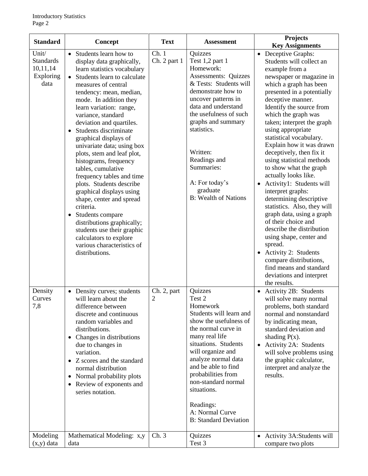| <b>Standard</b>                                            | Concept                                                                                                                                                                                                                                                                                                                                                                                                                                                                                                                                                                                                                                                                                                                                                       | <b>Text</b>                   | <b>Assessment</b>                                                                                                                                                                                                                                                                                                                                  | <b>Projects</b><br><b>Key Assignments</b>                                                                                                                                                                                                                                                                                                                                                                                                                                                                                                                                                                                                                                                                                                                                                                            |
|------------------------------------------------------------|---------------------------------------------------------------------------------------------------------------------------------------------------------------------------------------------------------------------------------------------------------------------------------------------------------------------------------------------------------------------------------------------------------------------------------------------------------------------------------------------------------------------------------------------------------------------------------------------------------------------------------------------------------------------------------------------------------------------------------------------------------------|-------------------------------|----------------------------------------------------------------------------------------------------------------------------------------------------------------------------------------------------------------------------------------------------------------------------------------------------------------------------------------------------|----------------------------------------------------------------------------------------------------------------------------------------------------------------------------------------------------------------------------------------------------------------------------------------------------------------------------------------------------------------------------------------------------------------------------------------------------------------------------------------------------------------------------------------------------------------------------------------------------------------------------------------------------------------------------------------------------------------------------------------------------------------------------------------------------------------------|
| Unit/<br><b>Standards</b><br>10,11,14<br>Exploring<br>data | Students learn how to<br>$\bullet$<br>display data graphically,<br>learn statistics vocabulary<br>Students learn to calculate<br>measures of central<br>tendency: mean, median,<br>mode. In addition they<br>learn variation: range,<br>variance, standard<br>deviation and quartiles.<br>Students discriminate<br>$\bullet$<br>graphical displays of<br>univariate data; using box<br>plots, stem and leaf plot,<br>histograms, frequency<br>tables, cumulative<br>frequency tables and time<br>plots. Students describe<br>graphical displays using<br>shape, center and spread<br>criteria.<br>Students compare<br>٠<br>distributions graphically;<br>students use their graphic<br>calculators to explore<br>various characteristics of<br>distributions. | Ch.1<br>Ch. 2 part 1          | Quizzes<br>Test 1,2 part 1<br>Homework:<br><b>Assessments: Quizzes</b><br>& Tests: Students will<br>demonstrate how to<br>uncover patterns in<br>data and understand<br>the usefulness of such<br>graphs and summary<br>statistics.<br>Written:<br>Readings and<br>Summaries:<br>A: For today's<br>graduate<br><b>B:</b> Wealth of Nations         | • Deceptive Graphs:<br>Students will collect an<br>example from a<br>newspaper or magazine in<br>which a graph has been<br>presented in a potentially<br>deceptive manner.<br>Identify the source from<br>which the graph was<br>taken; interpret the graph<br>using appropriate<br>statistical vocabulary.<br>Explain how it was drawn<br>deceptively, then fix it<br>using statistical methods<br>to show what the graph<br>actually looks like.<br>Activity1: Students will<br>interpret graphs:<br>determining descriptive<br>statistics. Also, they will<br>graph data, using a graph<br>of their choice and<br>describe the distribution<br>using shape, center and<br>spread.<br><b>Activity 2: Students</b><br>compare distributions,<br>find means and standard<br>deviations and interpret<br>the results. |
| Density<br>Curves<br>7,8                                   | • Density curves; students<br>will learn about the<br>difference between<br>discrete and continuous<br>random variables and<br>distributions.<br>Changes in distributions<br>٠<br>due to changes in<br>variation.<br>Z scores and the standard<br>normal distribution<br>• Normal probability plots<br>Review of exponents and<br>$\bullet$<br>series notation.                                                                                                                                                                                                                                                                                                                                                                                               | Ch. 2, part<br>$\overline{2}$ | Quizzes<br>Test 2<br>Homework<br>Students will learn and<br>show the usefulness of<br>the normal curve in<br>many real life<br>situations. Students<br>will organize and<br>analyze normal data<br>and be able to find<br>probabilities from<br>non-standard normal<br>situations.<br>Readings:<br>A: Normal Curve<br><b>B:</b> Standard Deviation | Activity 2B: Students<br>will solve many normal<br>problems, both standard<br>normal and nonstandard<br>by indicating mean,<br>standard deviation and<br>shading $P(x)$ .<br>Activity 2A: Students<br>$\bullet$<br>will solve problems using<br>the graphic calculator,<br>interpret and analyze the<br>results.                                                                                                                                                                                                                                                                                                                                                                                                                                                                                                     |
| Modeling<br>$(x,y)$ data                                   | Mathematical Modeling: x,y<br>data                                                                                                                                                                                                                                                                                                                                                                                                                                                                                                                                                                                                                                                                                                                            | Ch.3                          | Quizzes<br>Test 3                                                                                                                                                                                                                                                                                                                                  | Activity 3A:Students will<br>$\bullet$<br>compare two plots                                                                                                                                                                                                                                                                                                                                                                                                                                                                                                                                                                                                                                                                                                                                                          |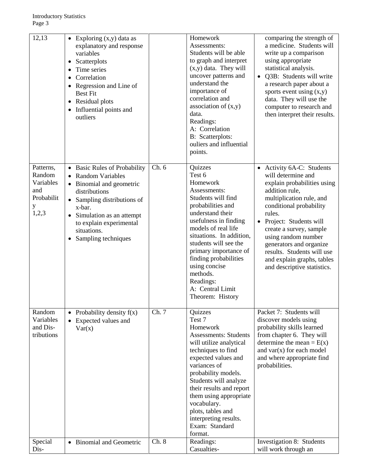| 12,13                                                               | • Exploring $(x,y)$ data as<br>explanatory and response<br>variables<br>Scatterplots<br>$\bullet$<br>Time series<br>Correlation<br>Regression and Line of<br><b>Best Fit</b><br>• Residual plots<br>• Influential points and<br>outliers                             |       | Homework<br>Assessments:<br>Students will be able<br>to graph and interpret<br>$(x,y)$ data. They will<br>uncover patterns and<br>understand the<br>importance of<br>correlation and<br>association of $(x,y)$<br>data.<br>Readings:<br>A: Correlation<br><b>B:</b> Scatterplots:<br>ouliers and influential<br>points.                               | comparing the strength of<br>a medicine. Students will<br>write up a comparison<br>using appropriate<br>statistical analysis.<br>Q3B: Students will write<br>a research paper about a<br>sports event using $(x,y)$<br>data. They will use the<br>computer to research and<br>then interpret their results.                                                         |
|---------------------------------------------------------------------|----------------------------------------------------------------------------------------------------------------------------------------------------------------------------------------------------------------------------------------------------------------------|-------|-------------------------------------------------------------------------------------------------------------------------------------------------------------------------------------------------------------------------------------------------------------------------------------------------------------------------------------------------------|---------------------------------------------------------------------------------------------------------------------------------------------------------------------------------------------------------------------------------------------------------------------------------------------------------------------------------------------------------------------|
| Patterns,<br>Random<br>Variables<br>and<br>Probabilit<br>y<br>1,2,3 | • Basic Rules of Probability<br><b>Random Variables</b><br>• Binomial and geometric<br>distributions<br>• Sampling distributions of<br>x-bar.<br>Simulation as an attempt<br>$\bullet$<br>to explain experimental<br>situations.<br>Sampling techniques<br>$\bullet$ | Ch.6  | Quizzes<br>Test 6<br>Homework<br>Assessments:<br>Students will find<br>probabilities and<br>understand their<br>usefulness in finding<br>models of real life<br>situations. In addition,<br>students will see the<br>primary importance of<br>finding probabilities<br>using concise<br>methods.<br>Readings:<br>A: Central Limit<br>Theorem: History | • Activity 6A-C: Students<br>will determine and<br>explain probabilities using<br>addition rule,<br>multiplication rule, and<br>conditional probability<br>rules.<br>Project: Students will<br>create a survey, sample<br>using random number<br>generators and organize<br>results. Students will use<br>and explain graphs, tables<br>and descriptive statistics. |
| Random<br>Variables<br>and Dis-<br>tributions                       | • Probability density $f(x)$<br>Expected values and<br>Var(x)                                                                                                                                                                                                        | Ch. 7 | Quizzes<br>Test 7<br>Homework<br><b>Assessments: Students</b><br>will utilize analytical<br>techniques to find<br>expected values and<br>variances of<br>probability models.<br>Students will analyze<br>their results and report<br>them using appropriate<br>vocabulary.<br>plots, tables and<br>interpreting results.<br>Exam: Standard<br>format. | Packet 7: Students will<br>discover models using<br>probability skills learned<br>from chapter 6. They will<br>determine the mean = $E(x)$<br>and $var(x)$ for each model<br>and where appropriate find<br>probabilities.                                                                                                                                           |
| Special<br>Dis-                                                     | • Binomial and Geometric                                                                                                                                                                                                                                             | Ch. 8 | Readings:<br>Casualties-                                                                                                                                                                                                                                                                                                                              | Investigation 8: Students<br>will work through an                                                                                                                                                                                                                                                                                                                   |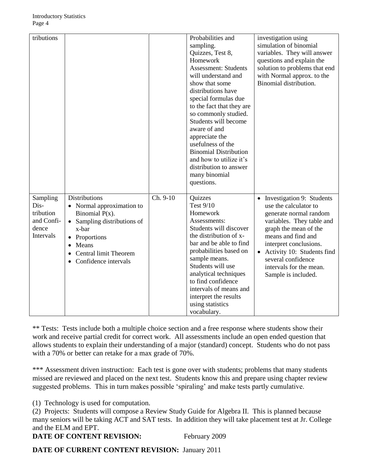| tributions                                                               |                                                                                                                                                                                                                   |          | Probabilities and<br>sampling.<br>Quizzes, Test 8,<br>Homework<br><b>Assessment: Students</b><br>will understand and<br>show that some<br>distributions have<br>special formulas due<br>to the fact that they are<br>so commonly studied.<br>Students will become<br>aware of and<br>appreciate the<br>usefulness of the<br><b>Binomial Distribution</b><br>and how to utilize it's<br>distribution to answer<br>many binomial<br>questions. | investigation using<br>simulation of binomial<br>variables. They will answer<br>questions and explain the<br>solution to problems that end<br>with Normal approx. to the<br>Binomial distribution.                                                                                                                 |
|--------------------------------------------------------------------------|-------------------------------------------------------------------------------------------------------------------------------------------------------------------------------------------------------------------|----------|----------------------------------------------------------------------------------------------------------------------------------------------------------------------------------------------------------------------------------------------------------------------------------------------------------------------------------------------------------------------------------------------------------------------------------------------|--------------------------------------------------------------------------------------------------------------------------------------------------------------------------------------------------------------------------------------------------------------------------------------------------------------------|
| Sampling<br>Dis-<br>tribution<br>and Confi-<br>dence<br><b>Intervals</b> | <b>Distributions</b><br>• Normal approximation to<br>Binomial $P(x)$ .<br>Sampling distributions of<br>$\bullet$<br>x-bar<br>Proportions<br>Means<br>$\bullet$<br>Central limit Theorem<br>• Confidence intervals | Ch. 9-10 | Quizzes<br><b>Test 9/10</b><br>Homework<br>Assessments:<br>Students will discover<br>the distribution of x-<br>bar and be able to find<br>probabilities based on<br>sample means.<br>Students will use<br>analytical techniques<br>to find confidence<br>intervals of means and<br>interpret the results<br>using statistics<br>vocabulary.                                                                                                  | Investigation 9: Students<br>$\bullet$<br>use the calculator to<br>generate normal random<br>variables. They table and<br>graph the mean of the<br>means and find and<br>interpret conclusions.<br>Activity 10: Students find<br>$\bullet$<br>several confidence<br>intervals for the mean.<br>Sample is included. |

\*\* Tests: Tests include both a multiple choice section and a free response where students show their work and receive partial credit for correct work. All assessments include an open ended question that allows students to explain their understanding of a major (standard) concept. Students who do not pass with a 70% or better can retake for a max grade of 70%.

\*\*\* Assessment driven instruction: Each test is gone over with students; problems that many students missed are reviewed and placed on the next test. Students know this and prepare using chapter review suggested problems. This in turn makes possible 'spiraling' and make tests partly cumulative.

(1) Technology is used for computation.

(2) Projects: Students will compose a Review Study Guide for Algebra II. This is planned because many seniors will be taking ACT and SAT tests. In addition they will take placement test at Jr. College and the ELM and EPT.

# **DATE OF CONTENT REVISION:** February 2009

**DATE OF CURRENT CONTENT REVISION:** January 2011